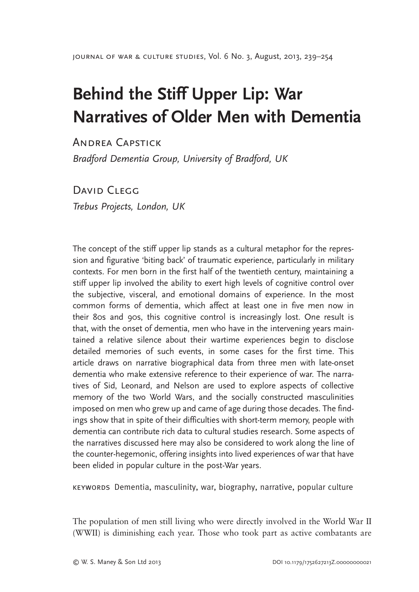# Behind the Stiff Upper Lip: War Narratives of Older Men with Dementia

Andrea Capstick

Bradford Dementia Group, University of Bradford, UK

David Clegg

Trebus Projects, London, UK

The concept of the stiff upper lip stands as a cultural metaphor for the repression and figurative 'biting back' of traumatic experience, particularly in military contexts. For men born in the first half of the twentieth century, maintaining a stiff upper lip involved the ability to exert high levels of cognitive control over the subjective, visceral, and emotional domains of experience. In the most common forms of dementia, which affect at least one in five men now in their 80s and 90s, this cognitive control is increasingly lost. One result is that, with the onset of dementia, men who have in the intervening years maintained a relative silence about their wartime experiences begin to disclose detailed memories of such events, in some cases for the first time. This article draws on narrative biographical data from three men with late-onset dementia who make extensive reference to their experience of war. The narratives of Sid, Leonard, and Nelson are used to explore aspects of collective memory of the two World Wars, and the socially constructed masculinities imposed on men who grew up and came of age during those decades. The findings show that in spite of their difficulties with short-term memory, people with dementia can contribute rich data to cultural studies research. Some aspects of the narratives discussed here may also be considered to work along the line of the counter-hegemonic, offering insights into lived experiences of war that have been elided in popular culture in the post-War years.

keywords Dementia, masculinity, war, biography, narrative, popular culture

The population of men still living who were directly involved in the World War II (WWII) is diminishing each year. Those who took part as active combatants are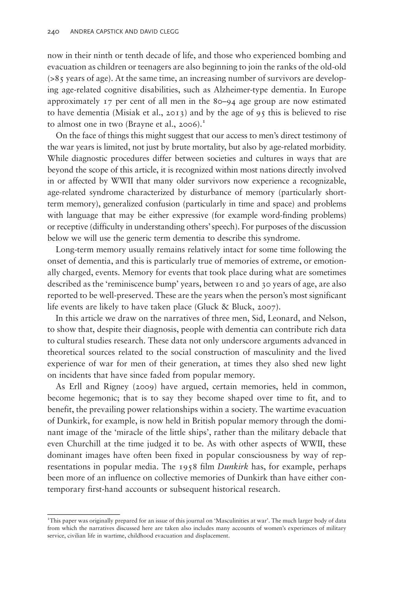now in their ninth or tenth decade of life, and those who experienced bombing and evacuation as children or teenagers are also beginning to join the ranks of the old-old  $(>85$  years of age). At the same time, an increasing number of survivors are developing age-related cognitive disabilities, such as Alzheimer-type dementia. In Europe approximately 17 per cent of all men in the 80–94 age group are now estimated to have dementia [\(Misiak et al., 2013](#page-15-0)) and by the age of 95 this is believed to rise to almost one in two ([Brayne et al., 2006](#page-14-0)).<sup>1</sup>

On the face of things this might suggest that our access to men's direct testimony of the war years is limited, not just by brute mortality, but also by age-related morbidity. While diagnostic procedures differ between societies and cultures in ways that are beyond the scope of this article, it is recognized within most nations directly involved in or affected by WWII that many older survivors now experience a recognizable, age-related syndrome characterized by disturbance of memory (particularly shortterm memory), generalized confusion (particularly in time and space) and problems with language that may be either expressive (for example word-finding problems) or receptive (difficulty in understanding others'speech). For purposes of the discussion below we will use the generic term dementia to describe this syndrome.

Long-term memory usually remains relatively intact for some time following the onset of dementia, and this is particularly true of memories of extreme, or emotionally charged, events. Memory for events that took place during what are sometimes described as the 'reminiscence bump' years, between 10 and 30 years of age, are also reported to be well-preserved. These are the years when the person's most significant life events are likely to have taken place [\(Gluck & Bluck, 2007\)](#page-14-0).

In this article we draw on the narratives of three men, Sid, Leonard, and Nelson, to show that, despite their diagnosis, people with dementia can contribute rich data to cultural studies research. These data not only underscore arguments advanced in theoretical sources related to the social construction of masculinity and the lived experience of war for men of their generation, at times they also shed new light on incidents that have since faded from popular memory.

As [Erll and Rigney \(2009\)](#page-14-0) have argued, certain memories, held in common, become hegemonic; that is to say they become shaped over time to fit, and to benefit, the prevailing power relationships within a society. The wartime evacuation of Dunkirk, for example, is now held in British popular memory through the dominant image of the 'miracle of the little ships', rather than the military debacle that even Churchill at the time judged it to be. As with other aspects of WWII, these dominant images have often been fixed in popular consciousness by way of representations in popular media. The 1958 film *Dunkirk* has, for example, perhaps been more of an influence on collective memories of Dunkirk than have either contemporary first-hand accounts or subsequent historical research.

<sup>1</sup> This paper was originally prepared for an issue of this journal on 'Masculinities at war'. The much larger body of data from which the narratives discussed here are taken also includes many accounts of women's experiences of military service, civilian life in wartime, childhood evacuation and displacement.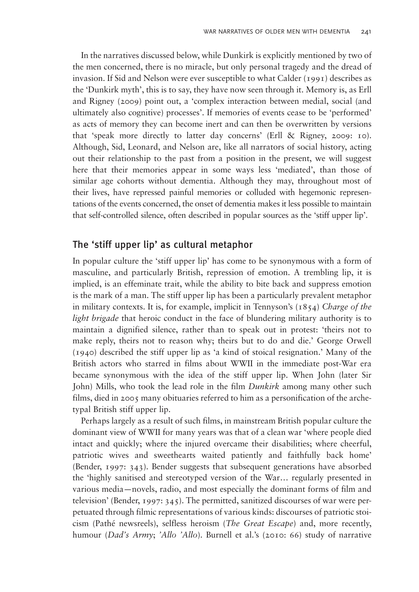In the narratives discussed below, while Dunkirk is explicitly mentioned by two of the men concerned, there is no miracle, but only personal tragedy and the dread of invasion. If Sid and Nelson were ever susceptible to what [Calder \(1991\)](#page-14-0) describes as the 'Dunkirk myth', this is to say, they have now seen through it. Memory is, as [Erll](#page-14-0) [and Rigney \(2009\)](#page-14-0) point out, a 'complex interaction between medial, social (and ultimately also cognitive) processes'. If memories of events cease to be 'performed' as acts of memory they can become inert and can then be overwritten by versions that 'speak more directly to latter day concerns' [\(Erll & Rigney, 2009:](#page-14-0) 10). Although, Sid, Leonard, and Nelson are, like all narrators of social history, acting out their relationship to the past from a position in the present, we will suggest here that their memories appear in some ways less 'mediated', than those of similar age cohorts without dementia. Although they may, throughout most of their lives, have repressed painful memories or colluded with hegemonic representations of the events concerned, the onset of dementia makes it less possible to maintain that self-controlled silence, often described in popular sources as the 'stiff upper lip'.

### The 'stiff upper lip' as cultural metaphor

In popular culture the 'stiff upper lip' has come to be synonymous with a form of masculine, and particularly British, repression of emotion. A trembling lip, it is implied, is an effeminate trait, while the ability to bite back and suppress emotion is the mark of a man. The stiff upper lip has been a particularly prevalent metaphor in military contexts. It is, for example, implicit in Tennyson's  $(1854)$  Charge of the light brigade that heroic conduct in the face of blundering military authority is to maintain a dignified silence, rather than to speak out in protest: 'theirs not to make reply, theirs not to reason why; theirs but to do and die.' George [Orwell](#page-15-0) [\(1940\)](#page-15-0) described the stiff upper lip as 'a kind of stoical resignation.' Many of the British actors who starred in films about WWII in the immediate post-War era became synonymous with the idea of the stiff upper lip. When John (later Sir John) Mills, who took the lead role in the film *Dunkirk* among many other such films, died in 2005 many obituaries referred to him as a personification of the archetypal British stiff upper lip.

Perhaps largely as a result of such films, in mainstream British popular culture the dominant view of WWII for many years was that of a clean war 'where people died intact and quickly; where the injured overcame their disabilities; where cheerful, patriotic wives and sweethearts waited patiently and faithfully back home' [\(Bender, 1997:](#page-14-0) 343). Bender suggests that subsequent generations have absorbed the 'highly sanitised and stereotyped version of the War… regularly presented in various media—novels, radio, and most especially the dominant forms of film and television' [\(Bender, 1997](#page-14-0): 345). The permitted, sanitized discourses of war were perpetuated through filmic representations of various kinds: discourses of patriotic stoicism (Pathé newsreels), selfless heroism (The Great Escape) and, more recently, humour (Dad's Army; 'Allo 'Allo). Burnell et al.'s (2010: 66) study of narrative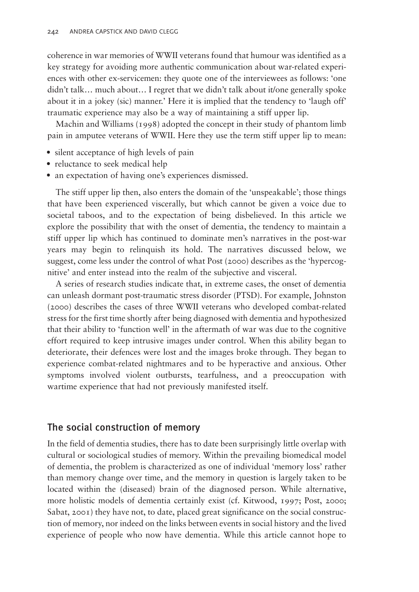coherence in war memories of WWII veterans found that humour was identified as a key strategy for avoiding more authentic communication about war-related experiences with other ex-servicemen: they quote one of the interviewees as follows: 'one didn't talk… much about… I regret that we didn't talk about it/one generally spoke about it in a jokey (sic) manner.' Here it is implied that the tendency to 'laugh off' traumatic experience may also be a way of maintaining a stiff upper lip.

Machin and Williams (1998) adopted the concept in their study of phantom limb pain in amputee veterans of WWII. Here they use the term stiff upper lip to mean:

- silent acceptance of high levels of pain
- reluctance to seek medical help
- an expectation of having one's experiences dismissed.

The stiff upper lip then, also enters the domain of the 'unspeakable'; those things that have been experienced viscerally, but which cannot be given a voice due to societal taboos, and to the expectation of being disbelieved. In this article we explore the possibility that with the onset of dementia, the tendency to maintain a stiff upper lip which has continued to dominate men's narratives in the post-war years may begin to relinquish its hold. The narratives discussed below, we suggest, come less under the control of what [Post \(2000\)](#page-15-0) describes as the 'hypercognitive' and enter instead into the realm of the subjective and visceral.

A series of research studies indicate that, in extreme cases, the onset of dementia can unleash dormant post-traumatic stress disorder (PTSD). For example, [Johnston](#page-15-0) [\(2000\)](#page-15-0) describes the cases of three WWII veterans who developed combat-related stress for the first time shortly after being diagnosed with dementia and hypothesized that their ability to 'function well' in the aftermath of war was due to the cognitive effort required to keep intrusive images under control. When this ability began to deteriorate, their defences were lost and the images broke through. They began to experience combat-related nightmares and to be hyperactive and anxious. Other symptoms involved violent outbursts, tearfulness, and a preoccupation with wartime experience that had not previously manifested itself.

#### The social construction of memory

In the field of dementia studies, there has to date been surprisingly little overlap with cultural or sociological studies of memory. Within the prevailing biomedical model of dementia, the problem is characterized as one of individual 'memory loss' rather than memory change over time, and the memory in question is largely taken to be located within the (diseased) brain of the diagnosed person. While alternative, more holistic models of dementia certainly exist (cf. [Kitwood, 1997; Post, 2000](#page-15-0); [Sabat, 2001](#page-15-0)) they have not, to date, placed great significance on the social construction of memory, nor indeed on the links between events in social history and the lived experience of people who now have dementia. While this article cannot hope to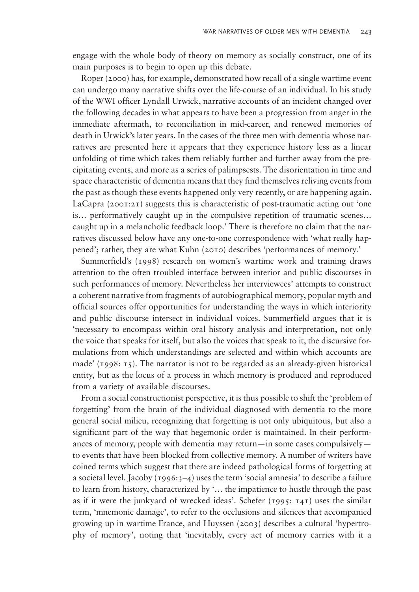engage with the whole body of theory on memory as socially construct, one of its main purposes is to begin to open up this debate.

[Roper \(2000\)](#page-15-0) has, for example, demonstrated how recall of a single wartime event can undergo many narrative shifts over the life-course of an individual. In his study of the WWI officer Lyndall Urwick, narrative accounts of an incident changed over the following decades in what appears to have been a progression from anger in the immediate aftermath, to reconciliation in mid-career, and renewed memories of death in Urwick's later years. In the cases of the three men with dementia whose narratives are presented here it appears that they experience history less as a linear unfolding of time which takes them reliably further and further away from the precipitating events, and more as a series of palimpsests. The disorientation in time and space characteristic of dementia means that they find themselves reliving events from the past as though these events happened only very recently, or are happening again. LaCapra  $(2001:21)$  suggests this is characteristic of post-traumatic acting out 'one is… performatively caught up in the compulsive repetition of traumatic scenes… caught up in a melancholic feedback loop.' There is therefore no claim that the narratives discussed below have any one-to-one correspondence with 'what really happened'; rather, they are what [Kuhn \(2010\)](#page-15-0) describes 'performances of memory.'

Summerfield's (1998) research on women's wartime work and training draws attention to the often troubled interface between interior and public discourses in such performances of memory. Nevertheless her interviewees' attempts to construct a coherent narrative from fragments of autobiographical memory, popular myth and official sources offer opportunities for understanding the ways in which interiority and public discourse intersect in individual voices. Summerfield argues that it is 'necessary to encompass within oral history analysis and interpretation, not only the voice that speaks for itself, but also the voices that speak to it, the discursive formulations from which understandings are selected and within which accounts are made'  $(1998: 15)$ . The narrator is not to be regarded as an already-given historical entity, but as the locus of a process in which memory is produced and reproduced from a variety of available discourses.

From a social constructionist perspective, it is thus possible to shift the 'problem of forgetting' from the brain of the individual diagnosed with dementia to the more general social milieu, recognizing that forgetting is not only ubiquitous, but also a significant part of the way that hegemonic order is maintained. In their performances of memory, people with dementia may return—in some cases compulsively to events that have been blocked from collective memory. A number of writers have coined terms which suggest that there are indeed pathological forms of forgetting at a societal level. Jacoby  $(1996:3-4)$  uses the term 'social amnesia' to describe a failure to learn from history, characterized by '… the impatience to hustle through the past as if it were the junkyard of wrecked ideas'. [Schefer \(1995:](#page-15-0) 141) uses the similar term, 'mnemonic damage', to refer to the occlusions and silences that accompanied growing up in wartime France, and [Huyssen \(2003\)](#page-14-0) describes a cultural 'hypertrophy of memory', noting that 'inevitably, every act of memory carries with it a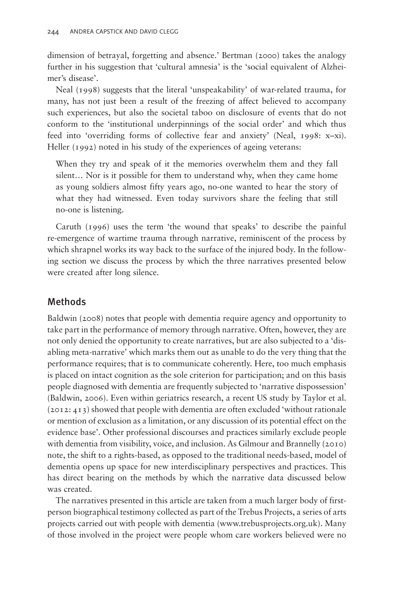dimension of betrayal, forgetting and absence.' [Bertman \(2000\)](#page-14-0) takes the analogy further in his suggestion that 'cultural amnesia' is the 'social equivalent of Alzheimer's disease'.

[Neal \(1998\)](#page-15-0) suggests that the literal 'unspeakability' of war-related trauma, for many, has not just been a result of the freezing of affect believed to accompany such experiences, but also the societal taboo on disclosure of events that do not conform to the 'institutional underpinnings of the social order' and which thus feed into 'overriding forms of collective fear and anxiety' [\(Neal, 1998](#page-15-0): x–xi). [Heller \(1992\)](#page-14-0) noted in his study of the experiences of ageing veterans:

When they try and speak of it the memories overwhelm them and they fall silent… Nor is it possible for them to understand why, when they came home as young soldiers almost fifty years ago, no-one wanted to hear the story of what they had witnessed. Even today survivors share the feeling that still no-one is listening.

[Caruth \(1996\)](#page-14-0) uses the term 'the wound that speaks' to describe the painful re-emergence of wartime trauma through narrative, reminiscent of the process by which shrapnel works its way back to the surface of the injured body. In the following section we discuss the process by which the three narratives presented below were created after long silence.

# Methods

[Baldwin \(2008\)](#page-14-0) notes that people with dementia require agency and opportunity to take part in the performance of memory through narrative. Often, however, they are not only denied the opportunity to create narratives, but are also subjected to a 'disabling meta-narrative' which marks them out as unable to do the very thing that the performance requires; that is to communicate coherently. Here, too much emphasis is placed on intact cognition as the sole criterion for participation; and on this basis people diagnosed with dementia are frequently subjected to 'narrative dispossession' [\(Baldwin, 2006](#page-14-0)). Even within geriatrics research, a recent US study by [Taylor et al.](#page-15-0) [\(2012](#page-15-0): 413) showed that people with dementia are often excluded 'without rationale or mention of exclusion as a limitation, or any discussion of its potential effect on the evidence base'. Other professional discourses and practices similarly exclude people with dementia from visibility, voice, and inclusion. As [Gilmour and Brannelly \(2010\)](#page-14-0) note, the shift to a rights-based, as opposed to the traditional needs-based, model of dementia opens up space for new interdisciplinary perspectives and practices. This has direct bearing on the methods by which the narrative data discussed below was created.

The narratives presented in this article are taken from a much larger body of firstperson biographical testimony collected as part of the Trebus Projects, a series of arts projects carried out with people with dementia [\(www.trebusprojects.org.uk](http://www.trebusprojects.org.uk)). Many of those involved in the project were people whom care workers believed were no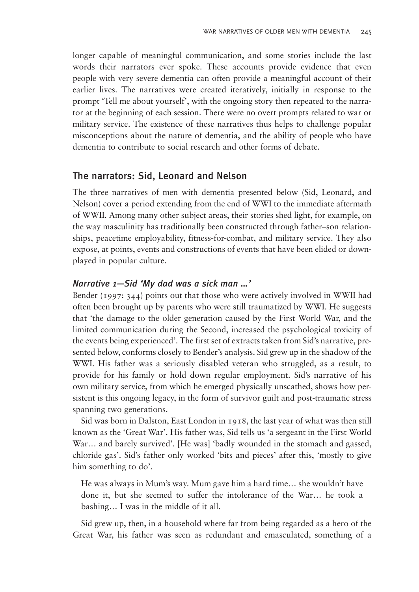longer capable of meaningful communication, and some stories include the last words their narrators ever spoke. These accounts provide evidence that even people with very severe dementia can often provide a meaningful account of their earlier lives. The narratives were created iteratively, initially in response to the prompt 'Tell me about yourself', with the ongoing story then repeated to the narrator at the beginning of each session. There were no overt prompts related to war or military service. The existence of these narratives thus helps to challenge popular misconceptions about the nature of dementia, and the ability of people who have dementia to contribute to social research and other forms of debate.

#### The narrators: Sid, Leonard and Nelson

The three narratives of men with dementia presented below (Sid, Leonard, and Nelson) cover a period extending from the end of WWI to the immediate aftermath of WWII. Among many other subject areas, their stories shed light, for example, on the way masculinity has traditionally been constructed through father–son relationships, peacetime employability, fitness-for-combat, and military service. They also expose, at points, events and constructions of events that have been elided or downplayed in popular culture.

#### Narrative 1—Sid 'My dad was a sick man …'

[Bender \(1997:](#page-14-0) 344) points out that those who were actively involved in WWII had often been brought up by parents who were still traumatized by WWI. He suggests that 'the damage to the older generation caused by the First World War, and the limited communication during the Second, increased the psychological toxicity of the events being experienced'. The first set of extracts taken from Sid's narrative, presented below, conforms closely to Bender's analysis. Sid grew up in the shadow of the WWI. His father was a seriously disabled veteran who struggled, as a result, to provide for his family or hold down regular employment. Sid's narrative of his own military service, from which he emerged physically unscathed, shows how persistent is this ongoing legacy, in the form of survivor guilt and post-traumatic stress spanning two generations.

Sid was born in Dalston, East London in 1918, the last year of what was then still known as the 'Great War'. His father was, Sid tells us 'a sergeant in the First World War… and barely survived'. [He was] 'badly wounded in the stomach and gassed, chloride gas'. Sid's father only worked 'bits and pieces' after this, 'mostly to give him something to do'.

He was always in Mum's way. Mum gave him a hard time… she wouldn't have done it, but she seemed to suffer the intolerance of the War… he took a bashing… I was in the middle of it all.

Sid grew up, then, in a household where far from being regarded as a hero of the Great War, his father was seen as redundant and emasculated, something of a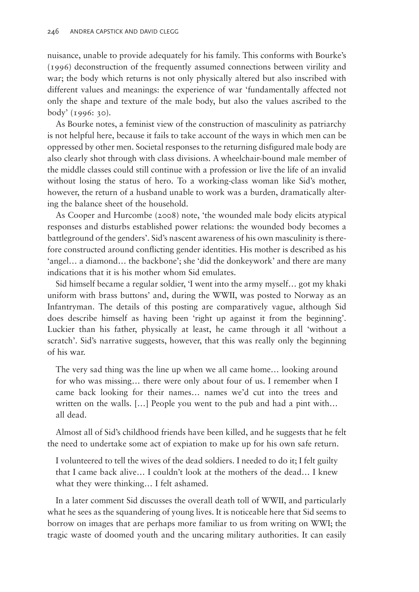nuisance, unable to provide adequately for his family. This conforms with Bourke's (1996) deconstruction of the frequently assumed connections between virility and war; the body which returns is not only physically altered but also inscribed with different values and meanings: the experience of war 'fundamentally affected not only the shape and texture of the male body, but also the values ascribed to the body' (1996: 30).

As Bourke notes, a feminist view of the construction of masculinity as patriarchy is not helpful here, because it fails to take account of the ways in which men can be oppressed by other men. Societal responses to the returning disfigured male body are also clearly shot through with class divisions. A wheelchair-bound male member of the middle classes could still continue with a profession or live the life of an invalid without losing the status of hero. To a working-class woman like Sid's mother, however, the return of a husband unable to work was a burden, dramatically altering the balance sheet of the household.

As [Cooper and Hurcombe \(2008\)](#page-14-0) note, 'the wounded male body elicits atypical responses and disturbs established power relations: the wounded body becomes a battleground of the genders'. Sid's nascent awareness of his own masculinity is therefore constructed around conflicting gender identities. His mother is described as his 'angel… a diamond… the backbone'; she 'did the donkeywork' and there are many indications that it is his mother whom Sid emulates.

Sid himself became a regular soldier, 'I went into the army myself… got my khaki uniform with brass buttons' and, during the WWII, was posted to Norway as an Infantryman. The details of this posting are comparatively vague, although Sid does describe himself as having been 'right up against it from the beginning'. Luckier than his father, physically at least, he came through it all 'without a scratch'. Sid's narrative suggests, however, that this was really only the beginning of his war.

The very sad thing was the line up when we all came home… looking around for who was missing… there were only about four of us. I remember when I came back looking for their names… names we'd cut into the trees and written on the walls. [...] People you went to the pub and had a pint with... all dead.

Almost all of Sid's childhood friends have been killed, and he suggests that he felt the need to undertake some act of expiation to make up for his own safe return.

I volunteered to tell the wives of the dead soldiers. I needed to do it; I felt guilty that I came back alive… I couldn't look at the mothers of the dead… I knew what they were thinking… I felt ashamed.

In a later comment Sid discusses the overall death toll of WWII, and particularly what he sees as the squandering of young lives. It is noticeable here that Sid seems to borrow on images that are perhaps more familiar to us from writing on WWI; the tragic waste of doomed youth and the uncaring military authorities. It can easily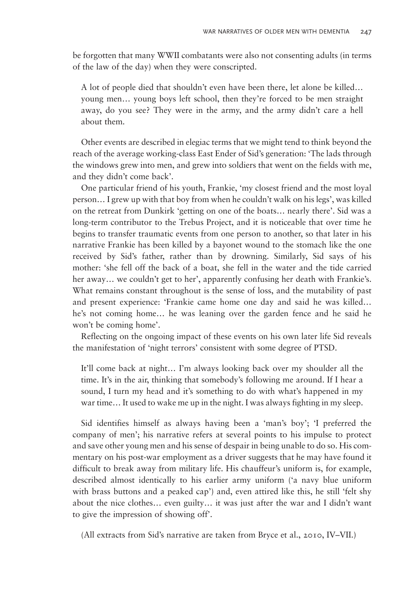be forgotten that many WWII combatants were also not consenting adults (in terms of the law of the day) when they were conscripted.

A lot of people died that shouldn't even have been there, let alone be killed… young men… young boys left school, then they're forced to be men straight away, do you see? They were in the army, and the army didn't care a hell about them.

Other events are described in elegiac terms that we might tend to think beyond the reach of the average working-class East Ender of Sid's generation: 'The lads through the windows grew into men, and grew into soldiers that went on the fields with me, and they didn't come back'.

One particular friend of his youth, Frankie, 'my closest friend and the most loyal person… I grew up with that boy from when he couldn't walk on his legs', was killed on the retreat from Dunkirk 'getting on one of the boats… nearly there'. Sid was a long-term contributor to the Trebus Project, and it is noticeable that over time he begins to transfer traumatic events from one person to another, so that later in his narrative Frankie has been killed by a bayonet wound to the stomach like the one received by Sid's father, rather than by drowning. Similarly, Sid says of his mother: 'she fell off the back of a boat, she fell in the water and the tide carried her away… we couldn't get to her', apparently confusing her death with Frankie's. What remains constant throughout is the sense of loss, and the mutability of past and present experience: 'Frankie came home one day and said he was killed… he's not coming home… he was leaning over the garden fence and he said he won't be coming home'.

Reflecting on the ongoing impact of these events on his own later life Sid reveals the manifestation of 'night terrors' consistent with some degree of PTSD.

It'll come back at night… I'm always looking back over my shoulder all the time. It's in the air, thinking that somebody's following me around. If I hear a sound, I turn my head and it's something to do with what's happened in my war time… It used to wake me up in the night. I was always fighting in my sleep.

Sid identifies himself as always having been a 'man's boy'; 'I preferred the company of men'; his narrative refers at several points to his impulse to protect and save other young men and his sense of despair in being unable to do so. His commentary on his post-war employment as a driver suggests that he may have found it difficult to break away from military life. His chauffeur's uniform is, for example, described almost identically to his earlier army uniform ('a navy blue uniform with brass buttons and a peaked cap') and, even attired like this, he still 'felt shy about the nice clothes… even guilty… it was just after the war and I didn't want to give the impression of showing off'.

(All extracts from Sid's narrative are taken from [Bryce et al., 2010](#page-14-0), IV–VII.)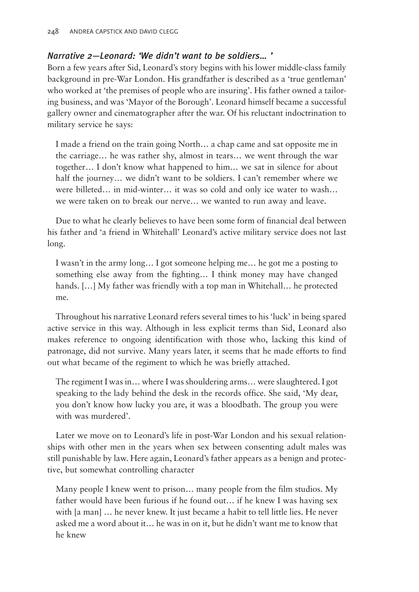## Narrative 2—Leonard: 'We didn't want to be soldiers… '

Born a few years after Sid, Leonard's story begins with his lower middle-class family background in pre-War London. His grandfather is described as a 'true gentleman' who worked at 'the premises of people who are insuring'. His father owned a tailoring business, and was 'Mayor of the Borough'. Leonard himself became a successful gallery owner and cinematographer after the war. Of his reluctant indoctrination to military service he says:

I made a friend on the train going North… a chap came and sat opposite me in the carriage… he was rather shy, almost in tears… we went through the war together… I don't know what happened to him… we sat in silence for about half the journey… we didn't want to be soldiers. I can't remember where we were billeted… in mid-winter… it was so cold and only ice water to wash… we were taken on to break our nerve… we wanted to run away and leave.

Due to what he clearly believes to have been some form of financial deal between his father and 'a friend in Whitehall' Leonard's active military service does not last long.

I wasn't in the army long… I got someone helping me… he got me a posting to something else away from the fighting… I think money may have changed hands. […] My father was friendly with a top man in Whitehall… he protected me.

Throughout his narrative Leonard refers several times to his 'luck' in being spared active service in this way. Although in less explicit terms than Sid, Leonard also makes reference to ongoing identification with those who, lacking this kind of patronage, did not survive. Many years later, it seems that he made efforts to find out what became of the regiment to which he was briefly attached.

The regiment I was in… where I was shouldering arms… were slaughtered. I got speaking to the lady behind the desk in the records office. She said, 'My dear, you don't know how lucky you are, it was a bloodbath. The group you were with was murdered'.

Later we move on to Leonard's life in post-War London and his sexual relationships with other men in the years when sex between consenting adult males was still punishable by law. Here again, Leonard's father appears as a benign and protective, but somewhat controlling character

Many people I knew went to prison… many people from the film studios. My father would have been furious if he found out… if he knew I was having sex with [a man] ... he never knew. It just became a habit to tell little lies. He never asked me a word about it… he was in on it, but he didn't want me to know that he knew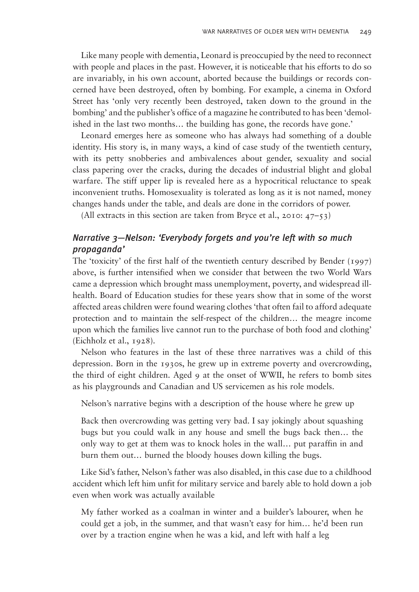Like many people with dementia, Leonard is preoccupied by the need to reconnect with people and places in the past. However, it is noticeable that his efforts to do so are invariably, in his own account, aborted because the buildings or records concerned have been destroyed, often by bombing. For example, a cinema in Oxford Street has 'only very recently been destroyed, taken down to the ground in the bombing' and the publisher's office of a magazine he contributed to has been 'demolished in the last two months… the building has gone, the records have gone.'

Leonard emerges here as someone who has always had something of a double identity. His story is, in many ways, a kind of case study of the twentieth century, with its petty snobberies and ambivalences about gender, sexuality and social class papering over the cracks, during the decades of industrial blight and global warfare. The stiff upper lip is revealed here as a hypocritical reluctance to speak inconvenient truths. Homosexuality is tolerated as long as it is not named, money changes hands under the table, and deals are done in the corridors of power.

(All extracts in this section are taken from [Bryce et al., 2010:](#page-14-0) 47–53)

## Narrative 3—Nelson: 'Everybody forgets and you're left with so much propaganda'

The 'toxicity' of the first half of the twentieth century described by [Bender \(1997\)](#page-14-0) above, is further intensified when we consider that between the two World Wars came a depression which brought mass unemployment, poverty, and widespread illhealth. Board of Education studies for these years show that in some of the worst affected areas children were found wearing clothes 'that often fail to afford adequate protection and to maintain the self-respect of the children… the meagre income upon which the families live cannot run to the purchase of both food and clothing' [\(Eichholz et al., 1928\)](#page-14-0).

Nelson who features in the last of these three narratives was a child of this depression. Born in the 1930s, he grew up in extreme poverty and overcrowding, the third of eight children. Aged 9 at the onset of WWII, he refers to bomb sites as his playgrounds and Canadian and US servicemen as his role models.

Nelson's narrative begins with a description of the house where he grew up

Back then overcrowding was getting very bad. I say jokingly about squashing bugs but you could walk in any house and smell the bugs back then… the only way to get at them was to knock holes in the wall… put paraffin in and burn them out… burned the bloody houses down killing the bugs.

Like Sid's father, Nelson's father was also disabled, in this case due to a childhood accident which left him unfit for military service and barely able to hold down a job even when work was actually available

My father worked as a coalman in winter and a builder's labourer, when he could get a job, in the summer, and that wasn't easy for him… he'd been run over by a traction engine when he was a kid, and left with half a leg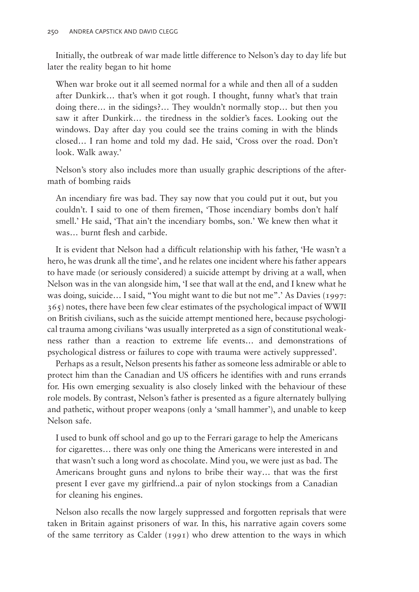Initially, the outbreak of war made little difference to Nelson's day to day life but later the reality began to hit home

When war broke out it all seemed normal for a while and then all of a sudden after Dunkirk… that's when it got rough. I thought, funny what's that train doing there… in the sidings?… They wouldn't normally stop… but then you saw it after Dunkirk… the tiredness in the soldier's faces. Looking out the windows. Day after day you could see the trains coming in with the blinds closed… I ran home and told my dad. He said, 'Cross over the road. Don't look. Walk away.'

Nelson's story also includes more than usually graphic descriptions of the aftermath of bombing raids

An incendiary fire was bad. They say now that you could put it out, but you couldn't. I said to one of them firemen, 'Those incendiary bombs don't half smell.' He said, 'That ain't the incendiary bombs, son.' We knew then what it was… burnt flesh and carbide.

It is evident that Nelson had a difficult relationship with his father, 'He wasn't a hero, he was drunk all the time', and he relates one incident where his father appears to have made (or seriously considered) a suicide attempt by driving at a wall, when Nelson was in the van alongside him, 'I see that wall at the end, and I knew what he was doing, suicide… I said, "You might want to die but not me".' As [Davies \(1997](#page-14-0): 365) notes, there have been few clear estimates of the psychological impact of WWII on British civilians, such as the suicide attempt mentioned here, because psychological trauma among civilians 'was usually interpreted as a sign of constitutional weakness rather than a reaction to extreme life events… and demonstrations of psychological distress or failures to cope with trauma were actively suppressed'.

Perhaps as a result, Nelson presents his father as someone less admirable or able to protect him than the Canadian and US officers he identifies with and runs errands for. His own emerging sexuality is also closely linked with the behaviour of these role models. By contrast, Nelson's father is presented as a figure alternately bullying and pathetic, without proper weapons (only a 'small hammer'), and unable to keep Nelson safe.

I used to bunk off school and go up to the Ferrari garage to help the Americans for cigarettes… there was only one thing the Americans were interested in and that wasn't such a long word as chocolate. Mind you, we were just as bad. The Americans brought guns and nylons to bribe their way… that was the first present I ever gave my girlfriend..a pair of nylon stockings from a Canadian for cleaning his engines.

Nelson also recalls the now largely suppressed and forgotten reprisals that were taken in Britain against prisoners of war. In this, his narrative again covers some of the same territory as [Calder \(1991\)](#page-14-0) who drew attention to the ways in which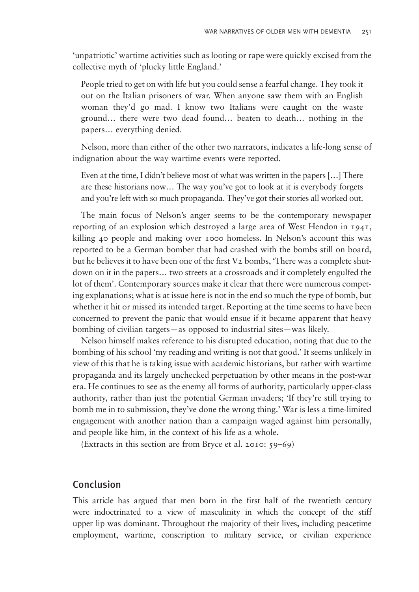'unpatriotic' wartime activities such as looting or rape were quickly excised from the collective myth of 'plucky little England.'

People tried to get on with life but you could sense a fearful change. They took it out on the Italian prisoners of war. When anyone saw them with an English woman they'd go mad. I know two Italians were caught on the waste ground… there were two dead found… beaten to death… nothing in the papers… everything denied.

Nelson, more than either of the other two narrators, indicates a life-long sense of indignation about the way wartime events were reported.

Even at the time, I didn't believe most of what was written in the papers […] There are these historians now… The way you've got to look at it is everybody forgets and you're left with so much propaganda. They've got their stories all worked out.

The main focus of Nelson's anger seems to be the contemporary newspaper reporting of an explosion which destroyed a large area of West Hendon in 1941, killing 40 people and making over 1000 homeless. In Nelson's account this was reported to be a German bomber that had crashed with the bombs still on board, but he believes it to have been one of the first V2 bombs, 'There was a complete shutdown on it in the papers… two streets at a crossroads and it completely engulfed the lot of them'. Contemporary sources make it clear that there were numerous competing explanations; what is at issue here is not in the end so much the type of bomb, but whether it hit or missed its intended target. Reporting at the time seems to have been concerned to prevent the panic that would ensue if it became apparent that heavy bombing of civilian targets—as opposed to industrial sites—was likely.

Nelson himself makes reference to his disrupted education, noting that due to the bombing of his school 'my reading and writing is not that good.' It seems unlikely in view of this that he is taking issue with academic historians, but rather with wartime propaganda and its largely unchecked perpetuation by other means in the post-war era. He continues to see as the enemy all forms of authority, particularly upper-class authority, rather than just the potential German invaders; 'If they're still trying to bomb me in to submission, they've done the wrong thing.' War is less a time-limited engagement with another nation than a campaign waged against him personally, and people like him, in the context of his life as a whole.

(Extracts in this section are from [Bryce et al. 2010](#page-14-0): 59–69)

## Conclusion

This article has argued that men born in the first half of the twentieth century were indoctrinated to a view of masculinity in which the concept of the stiff upper lip was dominant. Throughout the majority of their lives, including peacetime employment, wartime, conscription to military service, or civilian experience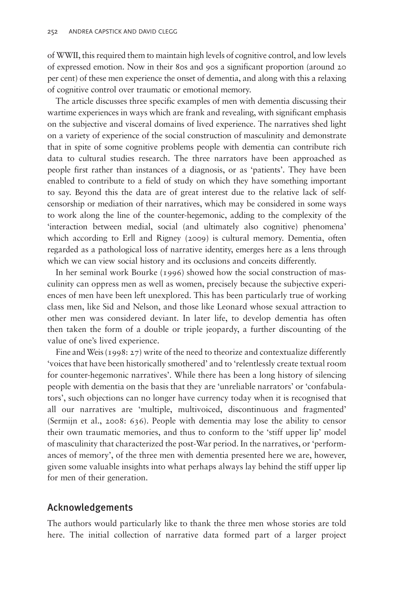of WWII, this required them to maintain high levels of cognitive control, and low levels of expressed emotion. Now in their 80s and 90s a significant proportion (around 20 per cent) of these men experience the onset of dementia, and along with this a relaxing of cognitive control over traumatic or emotional memory.

The article discusses three specific examples of men with dementia discussing their wartime experiences in ways which are frank and revealing, with significant emphasis on the subjective and visceral domains of lived experience. The narratives shed light on a variety of experience of the social construction of masculinity and demonstrate that in spite of some cognitive problems people with dementia can contribute rich data to cultural studies research. The three narrators have been approached as people first rather than instances of a diagnosis, or as 'patients'. They have been enabled to contribute to a field of study on which they have something important to say. Beyond this the data are of great interest due to the relative lack of selfcensorship or mediation of their narratives, which may be considered in some ways to work along the line of the counter-hegemonic, adding to the complexity of the 'interaction between medial, social (and ultimately also cognitive) phenomena' which according to [Erll and Rigney \(2009\)](#page-14-0) is cultural memory. Dementia, often regarded as a pathological loss of narrative identity, emerges here as a lens through which we can view social history and its occlusions and conceits differently.

In her seminal work [Bourke \(1996\)](#page-14-0) showed how the social construction of masculinity can oppress men as well as women, precisely because the subjective experiences of men have been left unexplored. This has been particularly true of working class men, like Sid and Nelson, and those like Leonard whose sexual attraction to other men was considered deviant. In later life, to develop dementia has often then taken the form of a double or triple jeopardy, a further discounting of the value of one's lived experience.

Fine and Weis ( $1998: 27$ ) write of the need to theorize and contextualize differently 'voices that have been historically smothered' and to 'relentlessly create textual room for counter-hegemonic narratives'. While there has been a long history of silencing people with dementia on the basis that they are 'unreliable narrators' or 'confabulators', such objections can no longer have currency today when it is recognised that all our narratives are 'multiple, multivoiced, discontinuous and fragmented' [\(Sermijn et al., 2008:](#page-15-0) 636). People with dementia may lose the ability to censor their own traumatic memories, and thus to conform to the 'stiff upper lip' model of masculinity that characterized the post-War period. In the narratives, or 'performances of memory', of the three men with dementia presented here we are, however, given some valuable insights into what perhaps always lay behind the stiff upper lip for men of their generation.

#### Acknowledgements

The authors would particularly like to thank the three men whose stories are told here. The initial collection of narrative data formed part of a larger project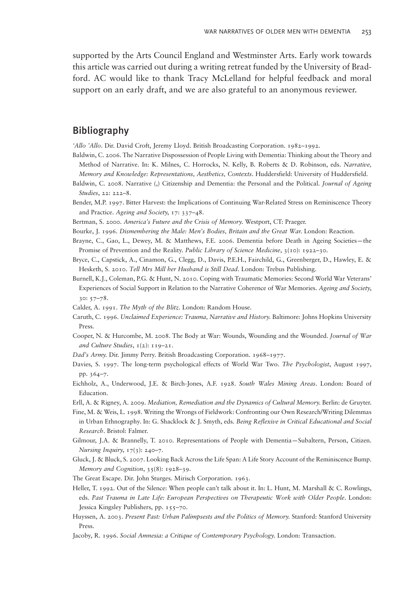<span id="page-14-0"></span>supported by the Arts Council England and Westminster Arts. Early work towards this article was carried out during a writing retreat funded by the University of Bradford. AC would like to thank Tracy McLelland for helpful feedback and moral support on an early draft, and we are also grateful to an anonymous reviewer.

# Bibliography

'Allo 'Allo. Dir. David Croft, Jeremy Lloyd. British Broadcasting Corporation. 1982–1992.

- Baldwin, C. 2006. The Narrative Dispossession of People Living with Dementia: Thinking about the Theory and Method of Narrative. In: K. Milnes, C. Horrocks, N. Kelly, B. Roberts & D. Robinson, eds. Narrative, Memory and Knowledge: Representations, Aesthetics, Contexts. Huddersfield: University of Huddersfield.
- Baldwin, C. 2008. Narrative (,) Citizenship and Dementia: the Personal and the Political. *Journal of Ageing* Studies, 22: 222–8.
- Bender, M.P. 1997. Bitter Harvest: the Implications of Continuing War-Related Stress on Reminiscence Theory and Practice. Ageing and Society, 17: 337–48.
- Bertman, S. 2000. America's Future and the Crisis of Memory. Westport, CT: Praeger.
- Bourke, J. 1996. Dismembering the Male: Men's Bodies, Britain and the Great War. London: Reaction.
- Brayne, C., Gao, L., Dewey, M. & Matthews, F.E. 2006. Dementia before Death in Ageing Societies—the Promise of Prevention and the Reality. Public Library of Science Medicine, 3(10): 1922-30.
- Bryce, C., Capstick, A., Cinamon, G., Clegg, D., Davis, P.E.H., Fairchild, G., Greenberger, D., Hawley, E. & Hesketh, S. 2010. Tell Mrs Mill her Husband is Still Dead. London: Trebus Publishing.
- Burnell, K.J., Coleman, P.G. & Hunt, N. 2010. Coping with Traumatic Memories: Second World War Veterans' Experiences of Social Support in Relation to the Narrative Coherence of War Memories. Ageing and Society, 30: 57–78.
- Calder, A. 1991. The Myth of the Blitz. London: Random House.
- Caruth, C. 1996. Unclaimed Experience: Trauma, Narrative and History. Baltimore: Johns Hopkins University Press.
- Cooper, N. & Hurcombe, M. 2008. The Body at War: Wounds, Wounding and the Wounded. Journal of War and Culture Studies,  $I(2)$ :  $I19-2I$ .
- Dad's Army. Dir. Jimmy Perry. British Broadcasting Corporation. 1968–1977.
- Davies, S. 1997. The long-term psychological effects of World War Two. The Psychologist, August 1997, pp. 364–7.
- Eichholz, A., Underwood, J.E. & Birch-Jones, A.F. 1928. South Wales Mining Areas. London: Board of Education.

Erll, A. & Rigney, A. 2009. Mediation, Remediation and the Dynamics of Cultural Memory. Berlin: de Gruyter.

- Fine, M. & Weis, L. 1998. Writing the Wrongs of Fieldwork: Confronting our Own Research/Writing Dilemmas in Urban Ethnography. In: G. Shacklock & J. Smyth, eds. Being Reflexive in Critical Educational and Social Research. Bristol: Falmer.
- Gilmour, J.A. & Brannelly, T. 2010. Representations of People with Dementia—Subaltern, Person, Citizen. Nursing Inquiry, 17(3): 240–7.
- Gluck, J. & Bluck, S. 2007. Looking Back Across the Life Span: A Life Story Account of the Reminiscence Bump. Memory and Cognition, 35(8): 1928-39.
- The Great Escape. Dir. John Sturges. Mirisch Corporation. 1963.
- Heller, T. 1992. Out of the Silence: When people can't talk about it. In: L. Hunt, M. Marshall & C. Rowlings, eds. Past Trauma in Late Life: European Perspectives on Therapeutic Work with Older People. London: Jessica Kingsley Publishers, pp. 155–70.
- Huyssen, A. 2003. Present Past: Urban Palimpsests and the Politics of Memory. Stanford: Stanford University Press.
- Jacoby, R. 1996. Social Amnesia: a Critique of Contemporary Psychology. London: Transaction.